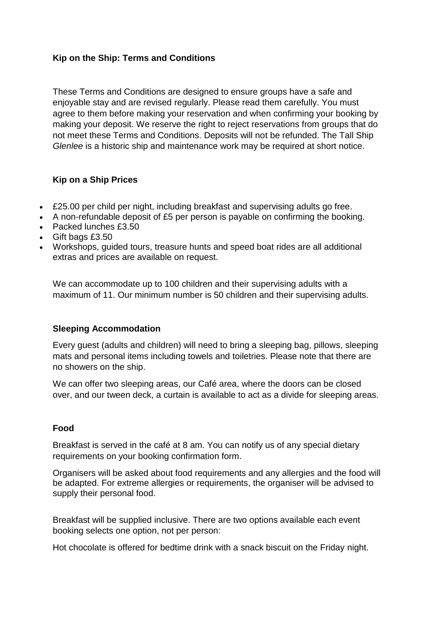# **Kip on the Ship: Terms and Conditions**

These Terms and Conditions are designed to ensure groups have a safe and enjoyable stay and are revised regularly. Please read them carefully. You must agree to them before making your reservation and when confirming your booking by making your deposit. We reserve the right to reject reservations from groups that do not meet these Terms and Conditions. Deposits will not be refunded. The Tall Ship *Glenlee* is a historic ship and maintenance work may be required at short notice.

# **Kip on a Ship Prices**

- £25.00 per child per night, including breakfast and supervising adults go free.
- A non-refundable deposit of £5 per person is payable on confirming the booking.
- Packed lunches £3.50
- Gift bags £3.50
- Workshops, guided tours, treasure hunts and speed boat rides are all additional extras and prices are available on request.

We can accommodate up to 100 children and their supervising adults with a maximum of 11. Our minimum number is 50 children and their supervising adults.

# **Sleeping Accommodation**

Every guest (adults and children) will need to bring a sleeping bag, pillows, sleeping mats and personal items including towels and toiletries. Please note that there are no showers on the ship.

We can offer two sleeping areas, our Café area, where the doors can be closed over, and our tween deck, a curtain is available to act as a divide for sleeping areas.

# **Food**

Breakfast is served in the café at 8 am. You can notify us of any special dietary requirements on your booking confirmation form.

Organisers will be asked about food requirements and any allergies and the food will be adapted. For extreme allergies or requirements, the organiser will be advised to supply their personal food.

Breakfast will be supplied inclusive. There are two options available each event booking selects one option, not per person:

Hot chocolate is offered for bedtime drink with a snack biscuit on the Friday night.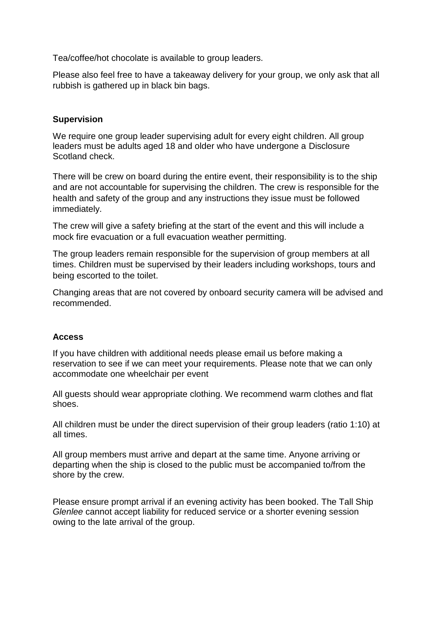Tea/coffee/hot chocolate is available to group leaders.

Please also feel free to have a takeaway delivery for your group, we only ask that all rubbish is gathered up in black bin bags.

### **Supervision**

We require one group leader supervising adult for every eight children. All group leaders must be adults aged 18 and older who have undergone a Disclosure Scotland check.

There will be crew on board during the entire event, their responsibility is to the ship and are not accountable for supervising the children. The crew is responsible for the health and safety of the group and any instructions they issue must be followed immediately.

The crew will give a safety briefing at the start of the event and this will include a mock fire evacuation or a full evacuation weather permitting.

The group leaders remain responsible for the supervision of group members at all times. Children must be supervised by their leaders including workshops, tours and being escorted to the toilet.

Changing areas that are not covered by onboard security camera will be advised and recommended.

### **Access**

If you have children with additional needs please email us before making a reservation to see if we can meet your requirements. Please note that we can only accommodate one wheelchair per event

All guests should wear appropriate clothing. We recommend warm clothes and flat shoes.

All children must be under the direct supervision of their group leaders (ratio 1:10) at all times.

All group members must arrive and depart at the same time. Anyone arriving or departing when the ship is closed to the public must be accompanied to/from the shore by the crew.

Please ensure prompt arrival if an evening activity has been booked. The Tall Ship *Glenlee* cannot accept liability for reduced service or a shorter evening session owing to the late arrival of the group.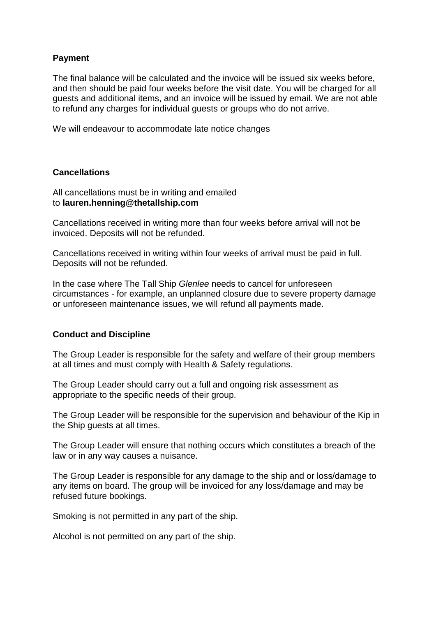### **Payment**

The final balance will be calculated and the invoice will be issued six weeks before, and then should be paid four weeks before the visit date. You will be charged for all guests and additional items, and an invoice will be issued by email. We are not able to refund any charges for individual guests or groups who do not arrive.

We will endeavour to accommodate late notice changes

### **Cancellations**

All cancellations must be in writing and emailed to **lauren.henning@thetallship.com**

Cancellations received in writing more than four weeks before arrival will not be invoiced. Deposits will not be refunded.

Cancellations received in writing within four weeks of arrival must be paid in full. Deposits will not be refunded.

In the case where The Tall Ship *Glenlee* needs to cancel for unforeseen circumstances - for example, an unplanned closure due to severe property damage or unforeseen maintenance issues, we will refund all payments made.

### **Conduct and Discipline**

The Group Leader is responsible for the safety and welfare of their group members at all times and must comply with Health & Safety regulations.

The Group Leader should carry out a full and ongoing risk assessment as appropriate to the specific needs of their group.

The Group Leader will be responsible for the supervision and behaviour of the Kip in the Ship guests at all times.

The Group Leader will ensure that nothing occurs which constitutes a breach of the law or in any way causes a nuisance.

The Group Leader is responsible for any damage to the ship and or loss/damage to any items on board. The group will be invoiced for any loss/damage and may be refused future bookings.

Smoking is not permitted in any part of the ship.

Alcohol is not permitted on any part of the ship.